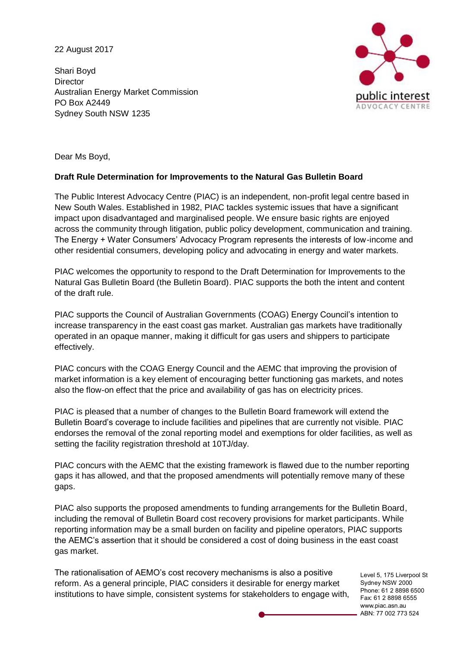22 August 2017

Shari Boyd **Director** Australian Energy Market Commission PO Box A2449 Sydney South NSW 1235



Dear Ms Boyd,

## **Draft Rule Determination for Improvements to the Natural Gas Bulletin Board**

The Public Interest Advocacy Centre (PIAC) is an independent, non-profit legal centre based in New South Wales. Established in 1982, PIAC tackles systemic issues that have a significant impact upon disadvantaged and marginalised people. We ensure basic rights are enjoyed across the community through litigation, public policy development, communication and training. The Energy + Water Consumers' Advocacy Program represents the interests of low-income and other residential consumers, developing policy and advocating in energy and water markets.

PIAC welcomes the opportunity to respond to the Draft Determination for Improvements to the Natural Gas Bulletin Board (the Bulletin Board). PIAC supports the both the intent and content of the draft rule.

PIAC supports the Council of Australian Governments (COAG) Energy Council's intention to increase transparency in the east coast gas market. Australian gas markets have traditionally operated in an opaque manner, making it difficult for gas users and shippers to participate effectively.

PIAC concurs with the COAG Energy Council and the AEMC that improving the provision of market information is a key element of encouraging better functioning gas markets, and notes also the flow-on effect that the price and availability of gas has on electricity prices.

PIAC is pleased that a number of changes to the Bulletin Board framework will extend the Bulletin Board's coverage to include facilities and pipelines that are currently not visible. PIAC endorses the removal of the zonal reporting model and exemptions for older facilities, as well as setting the facility registration threshold at 10TJ/day.

PIAC concurs with the AEMC that the existing framework is flawed due to the number reporting gaps it has allowed, and that the proposed amendments will potentially remove many of these gaps.

PIAC also supports the proposed amendments to funding arrangements for the Bulletin Board, including the removal of Bulletin Board cost recovery provisions for market participants. While reporting information may be a small burden on facility and pipeline operators, PIAC supports the AEMC's assertion that it should be considered a cost of doing business in the east coast gas market.

The rationalisation of AEMO's cost recovery mechanisms is also a positive reform. As a general principle, PIAC considers it desirable for energy market institutions to have simple, consistent systems for stakeholders to engage with,

Level 5, 175 Liverpool St Sydney NSW 2000 Phone: 61 2 8898 6500 Fax: 61 2 8898 6555 www.piac.asn.au ABN: 77 002 773 524